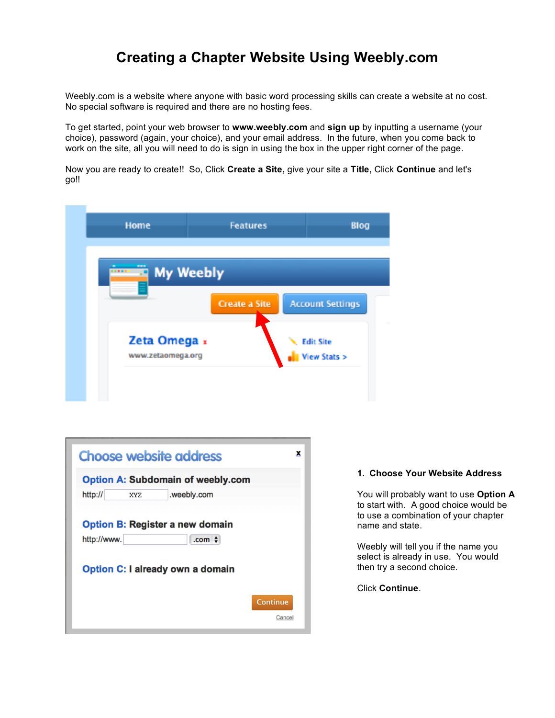# **Creating a Chapter Website Using Weebly.com**

Weebly.com is a website where anyone with basic word processing skills can create a website at no cost. No special software is required and there are no hosting fees.

To get started, point your web browser to **www.weebly.com** and **sign up** by inputting a username (your choice), password (again, your choice), and your email address. In the future, when you come back to work on the site, all you will need to do is sign in using the box in the upper right corner of the page.

Now you are ready to create!! So, Click **Create a Site,** give your site a **Title,** Click **Continue** and let's go!!

| <b>My Weebly</b>                  |                      |                                  |
|-----------------------------------|----------------------|----------------------------------|
|                                   |                      |                                  |
|                                   | <b>Create a Site</b> | <b>Account Settings</b>          |
|                                   |                      |                                  |
| Zeta Omega x<br>www.zetaomega.org |                      | <b>Edit Site</b><br>View Stats > |
|                                   |                      |                                  |

| <b>Choose website address</b>                                        | x      |
|----------------------------------------------------------------------|--------|
| <b>Option A: Subdomain of weebly.com</b>                             |        |
| http://<br>.weebly.com<br>XYZ                                        |        |
| <b>Option B: Register a new domain</b><br>http://www.<br>.com $\div$ |        |
| Option C: I already own a domain                                     |        |
| <b>Continue</b>                                                      | Cancel |

#### **1. Choose Your Website Address**

You will probably want to use **Option A** to start with. A good choice would be to use a combination of your chapter name and state.

Weebly will tell you if the name you select is already in use. You would then try a second choice.

Click **Continue**.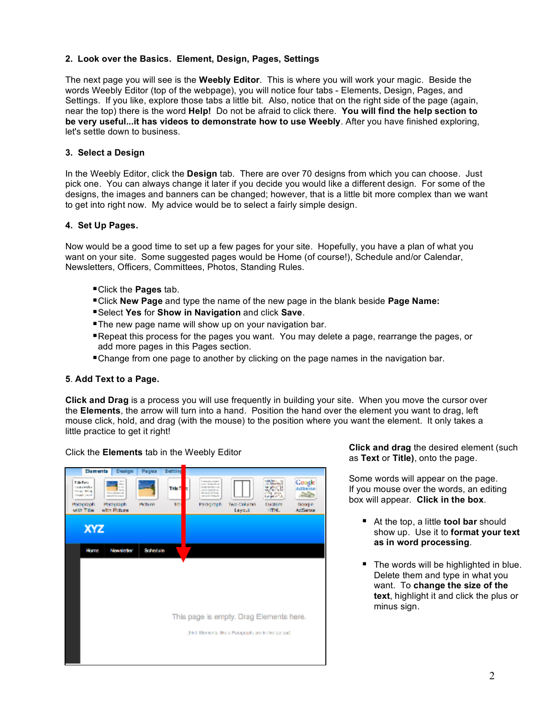## **2. Look over the Basics. Element, Design, Pages, Settings**

The next page you will see is the **Weebly Editor**. This is where you will work your magic. Beside the words Weebly Editor (top of the webpage), you will notice four tabs - Elements, Design, Pages, and Settings. If you like, explore those tabs a little bit. Also, notice that on the right side of the page (again, near the top) there is the word **Help!** Do not be afraid to click there. **You will find the help section to be very useful...it has videos to demonstrate how to use Weebly**. After you have finished exploring, let's settle down to business.

## **3. Select a Design**

In the Weebly Editor, click the **Design** tab. There are over 70 designs from which you can choose. Just pick one. You can always change it later if you decide you would like a different design. For some of the designs, the images and banners can be changed; however, that is a little bit more complex than we want to get into right now. My advice would be to select a fairly simple design.

#### **4. Set Up Pages.**

Now would be a good time to set up a few pages for your site. Hopefully, you have a plan of what you want on your site. Some suggested pages would be Home (of course!), Schedule and/or Calendar, Newsletters, Officers, Committees, Photos, Standing Rules.

- Click the **Pages** tab.
- Click **New Page** and type the name of the new page in the blank beside **Page Name:**
- Select **Yes** for **Show in Navigation** and click **Save**.
- **The new page name will show up on your navigation bar.**
- Repeat this process for the pages you want. You may delete a page, rearrange the pages, or add more pages in this Pages section.
- Change from one page to another by clicking on the page names in the navigation bar.

#### **5**. **Add Text to a Page.**

**Click and Drag** is a process you will use frequently in building your site. When you move the cursor over the **Elements**, the arrow will turn into a hand. Position the hand over the element you want to drag, left mouse click, hold, and drag (with the mouse) to the position where you want the element. It only takes a little practice to get it right!

| Elements                                                               | Design                                                                              | Papua    | Subting          |                                                                                                                                   |                                                        |                       |                                 |
|------------------------------------------------------------------------|-------------------------------------------------------------------------------------|----------|------------------|-----------------------------------------------------------------------------------------------------------------------------------|--------------------------------------------------------|-----------------------|---------------------------------|
| Tide Fest<br>Long awaited<br><b>Delay: Bridge</b><br><b>Tough Dead</b> | $\sim$<br><br>in an<br>ALC U<br><b>Christ-Bolight and</b><br>standard all calves in |          | <b>THAT</b><br>E | I seamed strategic<br>man Telligate at<br>prompt reprinted in an<br>USED BATH III<br><b>Corporate Scott</b><br>advised of sheets. |                                                        | <b>Thursday</b><br>改革 | Google<br>Addense<br><b>SER</b> |
| Paracrach<br>with Titler                                               | Paracraoh<br>with Picture                                                           | Picture  | TF.              | Paragraph                                                                                                                         | Two Column<br>Leyout                                   | Custom<br>HTM.        | Google<br>Addresse              |
|                                                                        |                                                                                     |          |                  |                                                                                                                                   |                                                        |                       |                                 |
| <b>XYZ</b>                                                             |                                                                                     |          |                  |                                                                                                                                   |                                                        |                       |                                 |
| Home                                                                   | Mondeller                                                                           | Schodale |                  |                                                                                                                                   |                                                        |                       |                                 |
|                                                                        |                                                                                     |          |                  |                                                                                                                                   |                                                        |                       |                                 |
|                                                                        |                                                                                     |          |                  |                                                                                                                                   |                                                        |                       |                                 |
|                                                                        |                                                                                     |          |                  |                                                                                                                                   |                                                        |                       |                                 |
|                                                                        |                                                                                     |          |                  |                                                                                                                                   |                                                        |                       |                                 |
|                                                                        |                                                                                     |          |                  |                                                                                                                                   | This page is empty. Drag Elements here.                |                       |                                 |
|                                                                        |                                                                                     |          |                  |                                                                                                                                   | (finit Elements, the a Porograph, are in the top bar). |                       |                                 |
|                                                                        |                                                                                     |          |                  |                                                                                                                                   |                                                        |                       |                                 |
|                                                                        |                                                                                     |          |                  |                                                                                                                                   |                                                        |                       |                                 |

Click the **Elements** tab in the Weebly Editor **Click and drag** the desired element (such as **Text** or **Title)**, onto the page.

> Some words will appear on the page. If you mouse over the words, an editing box will appear. **Click in the box**.

- At the top, a little **tool bar** should show up. Use it to **format your text as in word processing**.
- The words will be highlighted in blue. Delete them and type in what you want. To **change the size of the text**, highlight it and click the plus or minus sign.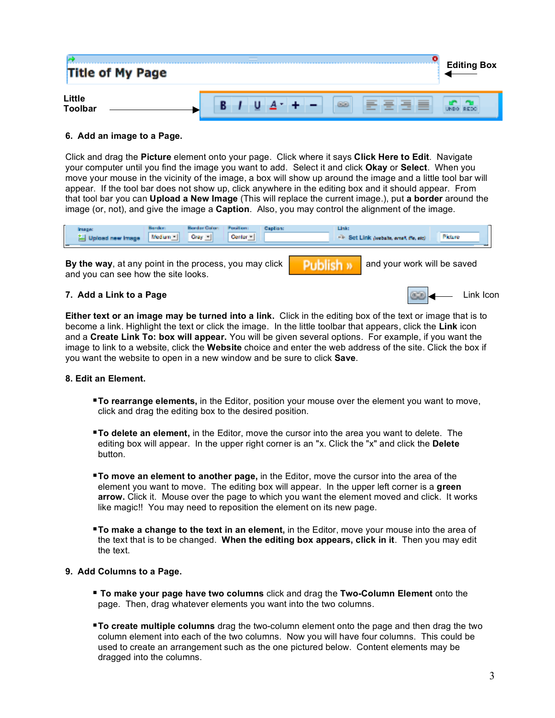| <b>Title of My Page</b> | = | <b>Editing Box</b> |
|-------------------------|---|--------------------|
| Little<br>Toolbar       |   |                    |

## **6. Add an image to a Page.**

Click and drag the **Picture** element onto your page. Click where it says **Click Here to Edit**. Navigate your computer until you find the image you want to add. Select it and click **Okay** or **Select**. When you move your mouse in the vicinity of the image, a box will show up around the image and a little tool bar will appear. If the tool bar does not show up, click anywhere in the editing box and it should appear. From that tool bar you can **Upload a New Image** (This will replace the current image.), put **a border** around the image (or, not), and give the image a **Caption**. Also, you may control the alignment of the image.

| ــ<br>- |  | mager<br>Upload new Image | <b>Household</b><br>Medium - III | <b>Regular Colors</b><br>Cray - | Position:<br>Center = 1 | <b>Capilon:</b> | Link<br>-> Set Link (website, event, file, etc) | Picture |  |
|---------|--|---------------------------|----------------------------------|---------------------------------|-------------------------|-----------------|-------------------------------------------------|---------|--|
|---------|--|---------------------------|----------------------------------|---------------------------------|-------------------------|-----------------|-------------------------------------------------|---------|--|

**By the way**, at any point in the process, you may click **buying publish**  $\mathbf{y}$  and your work will be saved and you can see how the site looks.

## **7. Add a Link to a Page**

**Either text or an image may be turned into a link.** Click in the editing box of the text or image that is to become a link. Highlight the text or click the image. In the little toolbar that appears, click the **Link** icon and a **Create Link To: box will appear.** You will be given several options. For example, if you want the image to link to a website, click the **Website** choice and enter the web address of the site. Click the box if you want the website to open in a new window and be sure to click **Save**.

## **8. Edit an Element.**

- **To rearrange elements,** in the Editor, position your mouse over the element you want to move, click and drag the editing box to the desired position.
- **To delete an element,** in the Editor, move the cursor into the area you want to delete. The editing box will appear. In the upper right corner is an "x. Click the "x" and click the **Delete** button.
- **To move an element to another page,** in the Editor, move the cursor into the area of the element you want to move. The editing box will appear. In the upper left corner is a **green arrow.** Click it. Mouse over the page to which you want the element moved and click. It works like magic!! You may need to reposition the element on its new page.
- **To make a change to the text in an element,** in the Editor, move your mouse into the area of the text that is to be changed. **When the editing box appears, click in it**. Then you may edit the text.

#### **9. Add Columns to a Page.**

- **To make your page have two columns** click and drag the **Two-Column Element** onto the page. Then, drag whatever elements you want into the two columns.
- **To create multiple columns** drag the two-column element onto the page and then drag the two column element into each of the two columns. Now you will have four columns. This could be used to create an arrangement such as the one pictured below. Content elements may be dragged into the columns.

Link Icon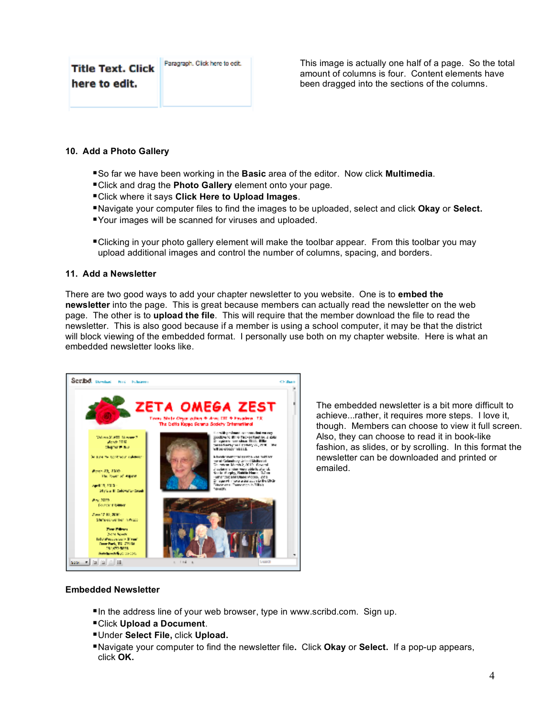| <b>Title Text. Click</b> | Paragraph, Click here to edit. |
|--------------------------|--------------------------------|
| here to edit.            |                                |

This image is actually one half of a page. So the total amount of columns is four. Content elements have been dragged into the sections of the columns.

## **10. Add a Photo Gallery**

- So far we have been working in the **Basic** area of the editor. Now click **Multimedia**.
- Click and drag the **Photo Gallery** element onto your page.
- Click where it says **Click Here to Upload Images**.
- Navigate your computer files to find the images to be uploaded, select and click **Okay** or **Select.**
- Your images will be scanned for viruses and uploaded.
- ■Clicking in your photo gallery element will make the toolbar appear. From this toolbar you may upload additional images and control the number of columns, spacing, and borders.

## **11. Add a Newsletter**

There are two good ways to add your chapter newsletter to you website. One is to **embed the newsletter** into the page. This is great because members can actually read the newsletter on the web page. The other is to **upload the file**. This will require that the member download the file to read the newsletter. This is also good because if a member is using a school computer, it may be that the district will block viewing of the embedded format. I personally use both on my chapter website. Here is what an embedded newsletter looks like.



The embedded newsletter is a bit more difficult to achieve...rather, it requires more steps. I love it, though. Members can choose to view it full screen. Also, they can choose to read it in book-like fashion, as slides, or by scrolling. In this format the newsletter can be downloaded and printed or emailed.

#### **Embedded Newsletter**

- In the address line of your web browser, type in www.scribd.com. Sign up.
- Click **Upload a Document**.
- Under **Select File,** click **Upload.**
- Navigate your computer to find the newsletter file**.** Click **Okay** or **Select.** If a pop-up appears, click **OK.**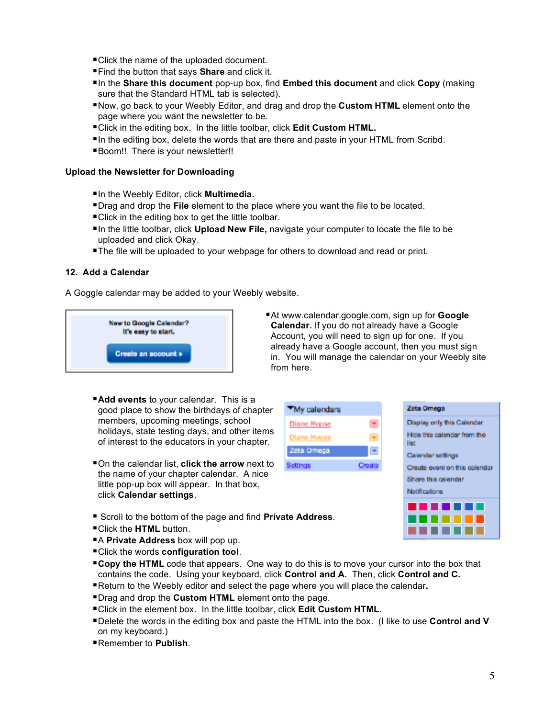- Click the name of the uploaded document.
- Find the button that says **Share** and click it.
- In the **Share this document** pop-up box, find **Embed this document** and click **Copy** (making sure that the Standard HTML tab is selected).
- **Now, go back to your Weebly Editor, and drag and drop the Custom HTML element onto the** page where you want the newsletter to be.
- Click in the editing box. In the little toolbar, click **Edit Custom HTML.**
- In the editing box, delete the words that are there and paste in your HTML from Scribd.
- Boom!! There is your newsletter!!

### **Upload the Newsletter for Downloading**

- In the Weebly Editor, click **Multimedia.**
- Drag and drop the **File** element to the place where you want the file to be located.
- Click in the editing box to get the little toolbar.
- In the little toolbar, click **Upload New File,** navigate your computer to locate the file to be uploaded and click Okay.
- The file will be uploaded to your webpage for others to download and read or print.

## **12. Add a Calendar**

A Goggle calendar may be added to your Weebly website.



- At www.calendar.google.com, sign up for **Google Calendar.** If you do not already have a Google Account, you will need to sign up for one. If you already have a Google account, then you must sign in. You will manage the calendar on your Weebly site from here.
- **Add events** to your calendar. This is a good place to show the birthdays of chapter members, upcoming meetings, school holidays, state testing days, and other items of interest to the educators in your chapter.
- On the calendar list, **click the arrow** next to the name of your chapter calendar. A nice little pop-up box will appear. In that box, click **Calendar settings**.





- Scroll to the bottom of the page and find **Private Address**.
- Click the **HTML** button.
- A **Private Address** box will pop up.
- Click the words **configuration tool**.
- **Copy the HTML** code that appears. One way to do this is to move your cursor into the box that contains the code. Using your keyboard, click **Control and A.** Then, click **Control and C.**
- Return to the Weebly editor and select the page where you will place the calendar**.**
- Drag and drop the **Custom HTML** element onto the page.
- Click in the element box. In the little toolbar, click **Edit Custom HTML**.
- Delete the words in the editing box and paste the HTML into the box. (I like to use **Control and V** on my keyboard.)
- Remember to **Publish**.